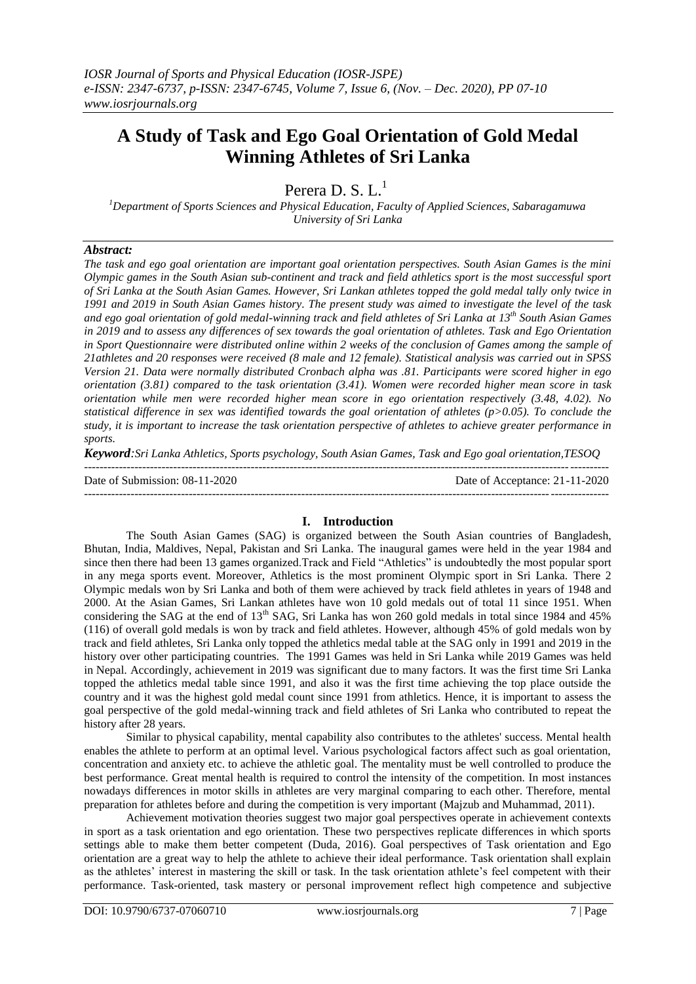# **A Study of Task and Ego Goal Orientation of Gold Medal Winning Athletes of Sri Lanka**

Perera D. S.  $L<sup>1</sup>$ 

*<sup>1</sup>Department of Sports Sciences and Physical Education, Faculty of Applied Sciences, Sabaragamuwa University of Sri Lanka*

# *Abstract:*

*The task and ego goal orientation are important goal orientation perspectives. South Asian Games is the mini Olympic games in the South Asian sub-continent and track and field athletics sport is the most successful sport of Sri Lanka at the South Asian Games. However, Sri Lankan athletes topped the gold medal tally only twice in 1991 and 2019 in South Asian Games history. The present study was aimed to investigate the level of the task and ego goal orientation of gold medal-winning track and field athletes of Sri Lanka at 13th South Asian Games in 2019 and to assess any differences of sex towards the goal orientation of athletes. Task and Ego Orientation in Sport Questionnaire were distributed online within 2 weeks of the conclusion of Games among the sample of 21athletes and 20 responses were received (8 male and 12 female). Statistical analysis was carried out in SPSS Version 21. Data were normally distributed Cronbach alpha was .81. Participants were scored higher in ego orientation (3.81) compared to the task orientation (3.41). Women were recorded higher mean score in task orientation while men were recorded higher mean score in ego orientation respectively (3.48, 4.02). No statistical difference in sex was identified towards the goal orientation of athletes (p>0.05). To conclude the study, it is important to increase the task orientation perspective of athletes to achieve greater performance in sports.*

*Keyword:Sri Lanka Athletics, Sports psychology, South Asian Games, Task and Ego goal orientation,TESOQ* ---------------------------------------------------------------------------------------------------------------------------------------

Date of Submission: 08-11-2020 Date of Acceptance: 21-11-2020 ---------------------------------------------------------------------------------------------------------------------------------------

## **I. Introduction**

The South Asian Games (SAG) is organized between the South Asian countries of Bangladesh, Bhutan, India, Maldives, Nepal, Pakistan and Sri Lanka. The inaugural games were held in the year 1984 and since then there had been 13 games organized.Track and Field "Athletics" is undoubtedly the most popular sport in any mega sports event. Moreover, Athletics is the most prominent Olympic sport in Sri Lanka. There 2 Olympic medals won by Sri Lanka and both of them were achieved by track field athletes in years of 1948 and 2000. At the Asian Games, Sri Lankan athletes have won 10 gold medals out of total 11 since 1951. When considering the SAG at the end of 13<sup>th</sup> SAG, Sri Lanka has won 260 gold medals in total since 1984 and 45% (116) of overall gold medals is won by track and field athletes. However, although 45% of gold medals won by track and field athletes, Sri Lanka only topped the athletics medal table at the SAG only in 1991 and 2019 in the history over other participating countries. The 1991 Games was held in Sri Lanka while 2019 Games was held in Nepal. Accordingly, achievement in 2019 was significant due to many factors. It was the first time Sri Lanka topped the athletics medal table since 1991, and also it was the first time achieving the top place outside the country and it was the highest gold medal count since 1991 from athletics. Hence, it is important to assess the goal perspective of the gold medal-winning track and field athletes of Sri Lanka who contributed to repeat the history after 28 years.

Similar to physical capability, mental capability also contributes to the athletes' success. Mental health enables the athlete to perform at an optimal level. Various psychological factors affect such as goal orientation, concentration and anxiety etc. to achieve the athletic goal. The mentality must be well controlled to produce the best performance. Great mental health is required to control the intensity of the competition. In most instances nowadays differences in motor skills in athletes are very marginal comparing to each other. Therefore, mental preparation for athletes before and during the competition is very important (Majzub and Muhammad, 2011).

Achievement motivation theories suggest two major goal perspectives operate in achievement contexts in sport as a task orientation and ego orientation. These two perspectives replicate differences in which sports settings able to make them better competent (Duda, 2016). Goal perspectives of Task orientation and Ego orientation are a great way to help the athlete to achieve their ideal performance. Task orientation shall explain as the athletes' interest in mastering the skill or task. In the task orientation athlete's feel competent with their performance. Task-oriented, task mastery or personal improvement reflect high competence and subjective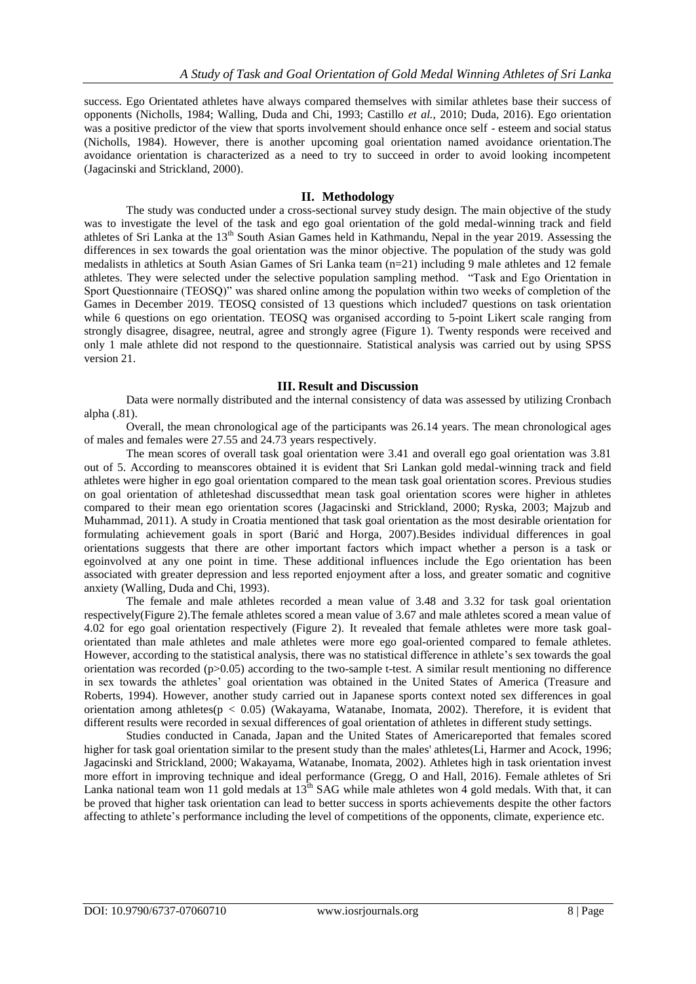success. Ego Orientated athletes have always compared themselves with similar athletes base their success of opponents (Nicholls, 1984; Walling, Duda and Chi, 1993; Castillo *et al.*, 2010; Duda, 2016). Ego orientation was a positive predictor of the view that sports involvement should enhance once self - esteem and social status (Nicholls, 1984). However, there is another upcoming goal orientation named avoidance orientation.The avoidance orientation is characterized as a need to try to succeed in order to avoid looking incompetent (Jagacinski and Strickland, 2000).

#### **II. Methodology**

The study was conducted under a cross-sectional survey study design. The main objective of the study was to investigate the level of the task and ego goal orientation of the gold medal-winning track and field athletes of Sri Lanka at the 13<sup>th</sup> South Asian Games held in Kathmandu, Nepal in the year 2019. Assessing the differences in sex towards the goal orientation was the minor objective. The population of the study was gold medalists in athletics at South Asian Games of Sri Lanka team (n=21) including 9 male athletes and 12 female athletes. They were selected under the selective population sampling method. "Task and Ego Orientation in Sport Questionnaire (TEOSQ)" was shared online among the population within two weeks of completion of the Games in December 2019. TEOSQ consisted of 13 questions which included7 questions on task orientation while 6 questions on ego orientation. TEOSO was organised according to 5-point Likert scale ranging from strongly disagree, disagree, neutral, agree and strongly agree (Figure 1). Twenty responds were received and only 1 male athlete did not respond to the questionnaire. Statistical analysis was carried out by using SPSS version 21.

### **III. Result and Discussion**

Data were normally distributed and the internal consistency of data was assessed by utilizing Cronbach alpha (.81).

Overall, the mean chronological age of the participants was 26.14 years. The mean chronological ages of males and females were 27.55 and 24.73 years respectively.

The mean scores of overall task goal orientation were 3.41 and overall ego goal orientation was 3.81 out of 5. According to meanscores obtained it is evident that Sri Lankan gold medal-winning track and field athletes were higher in ego goal orientation compared to the mean task goal orientation scores. Previous studies on goal orientation of athleteshad discussedthat mean task goal orientation scores were higher in athletes compared to their mean ego orientation scores (Jagacinski and Strickland, 2000; Ryska, 2003; Majzub and Muhammad, 2011). A study in Croatia mentioned that task goal orientation as the most desirable orientation for formulating achievement goals in sport (Barić and Horga, 2007).Besides individual differences in goal orientations suggests that there are other important factors which impact whether a person is a task or egoinvolved at any one point in time. These additional influences include the Ego orientation has been associated with greater depression and less reported enjoyment after a loss, and greater somatic and cognitive anxiety (Walling, Duda and Chi, 1993).

The female and male athletes recorded a mean value of 3.48 and 3.32 for task goal orientation respectively(Figure 2).The female athletes scored a mean value of 3.67 and male athletes scored a mean value of 4.02 for ego goal orientation respectively (Figure 2). It revealed that female athletes were more task goalorientated than male athletes and male athletes were more ego goal-oriented compared to female athletes. However, according to the statistical analysis, there was no statistical difference in athlete's sex towards the goal orientation was recorded ( $p>0.05$ ) according to the two-sample t-test. A similar result mentioning no difference in sex towards the athletes" goal orientation was obtained in the United States of America (Treasure and Roberts, 1994). However, another study carried out in Japanese sports context noted sex differences in goal orientation among athletes(p < 0.05) (Wakayama, Watanabe, Inomata, 2002). Therefore, it is evident that different results were recorded in sexual differences of goal orientation of athletes in different study settings.

Studies conducted in Canada, Japan and the United States of Americareported that females scored higher for task goal orientation similar to the present study than the males' athletes(Li, Harmer and Acock, 1996; Jagacinski and Strickland, 2000; Wakayama, Watanabe, Inomata, 2002). Athletes high in task orientation invest more effort in improving technique and ideal performance (Gregg, O and Hall, 2016). Female athletes of Sri Lanka national team won 11 gold medals at  $13<sup>th</sup>$  SAG while male athletes won 4 gold medals. With that, it can be proved that higher task orientation can lead to better success in sports achievements despite the other factors affecting to athlete"s performance including the level of competitions of the opponents, climate, experience etc.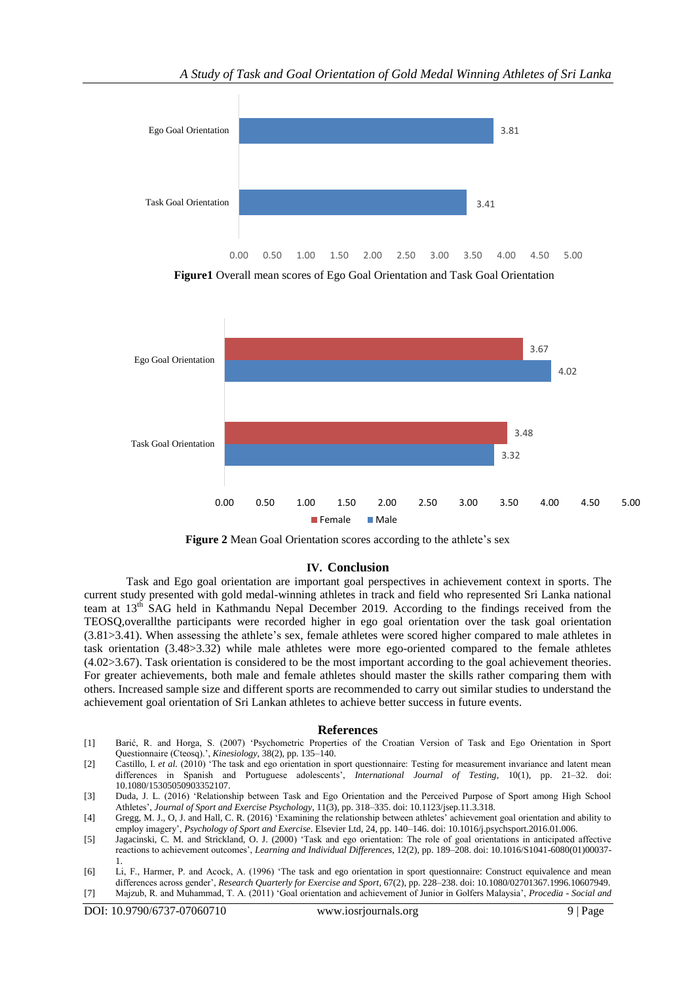

**Figure1** Overall mean scores of Ego Goal Orientation and Task Goal Orientation





#### **IV. Conclusion**

Task and Ego goal orientation are important goal perspectives in achievement context in sports. The current study presented with gold medal-winning athletes in track and field who represented Sri Lanka national team at  $13<sup>th</sup>$  SAG held in Kathmandu Nepal December 2019. According to the findings received from the TEOSQ,overallthe participants were recorded higher in ego goal orientation over the task goal orientation (3.81>3.41). When assessing the athlete"s sex, female athletes were scored higher compared to male athletes in task orientation (3.48>3.32) while male athletes were more ego-oriented compared to the female athletes (4.02>3.67). Task orientation is considered to be the most important according to the goal achievement theories. For greater achievements, both male and female athletes should master the skills rather comparing them with others. Increased sample size and different sports are recommended to carry out similar studies to understand the achievement goal orientation of Sri Lankan athletes to achieve better success in future events.

#### **References**

- [1] Barić, R. and Horga, S. (2007) "Psychometric Properties of the Croatian Version of Task and Ego Orientation in Sport Questionnaire (Cteosq).", *Kinesiology*, 38(2), pp. 135–140.
- [2] Castillo, I. *et al.* (2010) "The task and ego orientation in sport questionnaire: Testing for measurement invariance and latent mean differences in Spanish and Portuguese adolescents", *International Journal of Testing*, 10(1), pp. 21–32. doi: 10.1080/15305050903352107.
- [3] Duda, J. L. (2016) "Relationship between Task and Ego Orientation and the Perceived Purpose of Sport among High School Athletes", *Journal of Sport and Exercise Psychology*, 11(3), pp. 318–335. doi: 10.1123/jsep.11.3.318.
- [4] Gregg, M. J., O, J. and Hall, C. R. (2016) "Examining the relationship between athletes" achievement goal orientation and ability to employ imagery", *Psychology of Sport and Exercise*. Elsevier Ltd, 24, pp. 140–146. doi: 10.1016/j.psychsport.2016.01.006.
- [5] Jagacinski, C. M. and Strickland, O. J. (2000) "Task and ego orientation: The role of goal orientations in anticipated affective reactions to achievement outcomes", *Learning and Individual Differences*, 12(2), pp. 189–208. doi: 10.1016/S1041-6080(01)00037- 1.
- [6] Li, F., Harmer, P. and Acock, A. (1996) "The task and ego orientation in sport questionnaire: Construct equivalence and mean differences across gender", *Research Quarterly for Exercise and Sport*, 67(2), pp. 228–238. doi: 10.1080/02701367.1996.10607949.
- [7] Majzub, R. and Muhammad, T. A. (2011) "Goal orientation and achievement of Junior in Golfers Malaysia", *Procedia - Social and*